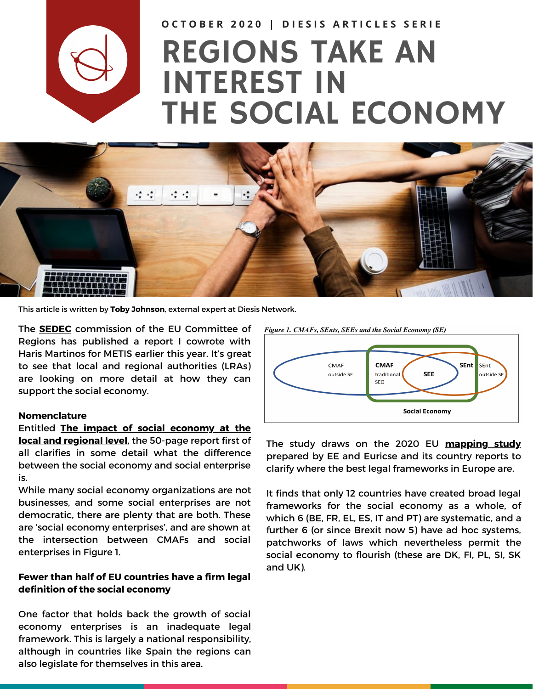

OCTOBER 2020 | DIESIS ARTICLES SERIE

# REGIONS TAKE AN INTEREST IN THE SOCIAL ECONOMY



This article is written by **Toby [Johnson](https://www.diesis.coop/?goto=NzhDTwpfR0AWNi8aUlElCCYSTnNRG0BKNQxZNFkaIQc6Sw)**, external expert at Diesis Network.

The **[SEDEC](https://cor.europa.eu/en/our-work/Pages/sedec.aspx)** commission of the EU Committee of Regions has published a report I cowrote with Haris Martinos for METIS earlier this year. It's great to see that local and regional authorities (LRAs) are looking on more detail at how they can support the social economy.

#### **Nomenclature**

### Entitled **The impact of social [economy](https://cor.europa.eu/en/engage/studies/Documents/Impact-of-social-economy.pdf) at the local and regional level**, the 50-page report first of all clarifies in some detail what the difference between the social economy and social enterprise

is. While many social economy organizations are not

businesses, and some social enterprises are not democratic, there are plenty that are both. These are 'social economy enterprises', and are shown at the intersection between CMAFs and social enterprises in Figure 1.

#### **Fewer than half of EU countries have a firm legal definition of the social economy**

One factor that holds back the growth of social economy enterprises is an inadequate legal framework. This is largely a national responsibility, although in countries like Spain the regions can also legislate for themselves in this area.





The study draws on the 2020 EU **[mapping](https://ec.europa.eu/social/main.jsp?catId=738&langId=en&pubId=8274) study** prepared by EE and Euricse and its country reports to clarify where the best legal frameworks in Europe are.

It finds that only 12 countries have created broad legal frameworks for the social economy as a whole, of which 6 (BE, FR, EL, ES, IT and PT) are systematic, and a further 6 (or since Brexit now 5) have ad hoc systems, patchworks of laws which nevertheless permit the social economy to flourish (these are DK, FI, PL, SI, SK and UK).